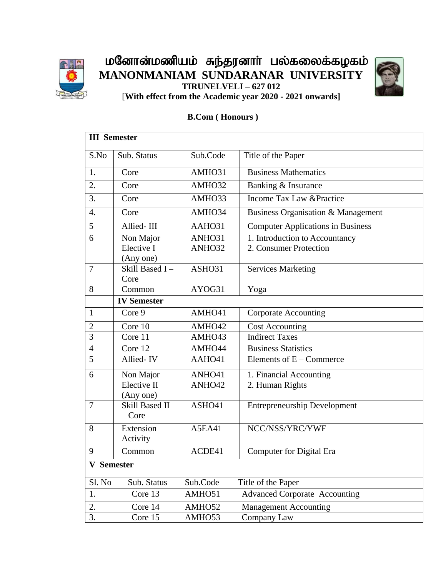

மனோன்மணியம் சுந்தரனாா் பல்கலைக்கழகம் **MANONMANIAM SUNDARANAR UNIVERSITY TIRUNELVELI – 627 012**



[**With effect from the Academic year 2020 - 2021 onwards]**

## **B.Com ( Honours )**

| <b>III</b> Semester |                                 |                  |                                                          |  |
|---------------------|---------------------------------|------------------|----------------------------------------------------------|--|
| S.No                | Sub. Status                     | Sub.Code         | Title of the Paper                                       |  |
| 1.                  | Core                            | AMHO31           | <b>Business Mathematics</b>                              |  |
| 2.                  | Core                            | AMHO32           | Banking & Insurance                                      |  |
| 3.                  | Core                            | AMHO33           | Income Tax Law & Practice                                |  |
| 4.                  | Core                            | AMHO34           | Business Organisation & Management                       |  |
| 5                   | Allied-III                      | AAHO31           | <b>Computer Applications in Business</b>                 |  |
| 6                   | Non Major<br>Elective I         | ANHO31<br>ANHO32 | 1. Introduction to Accountancy<br>2. Consumer Protection |  |
|                     | (Any one)                       |                  |                                                          |  |
| $\overline{7}$      | Skill Based I-<br>Core          | ASHO31           | <b>Services Marketing</b>                                |  |
| 8                   | Common                          | AYOG31           | Yoga                                                     |  |
|                     | <b>IV Semester</b>              |                  |                                                          |  |
| $\mathbf{1}$        | Core 9                          | AMHO41           | <b>Corporate Accounting</b>                              |  |
| $\mathbf{2}$        | Core 10                         | AMHO42           | <b>Cost Accounting</b>                                   |  |
| $\overline{3}$      | Core 11                         | AMHO43           | <b>Indirect Taxes</b>                                    |  |
| $\overline{4}$      | Core 12                         | AMHO44           | <b>Business Statistics</b>                               |  |
| 5                   | Allied-IV                       | AAHO41           | Elements of $E -$ Commerce                               |  |
| 6                   | Non Major                       | ANHO41           | 1. Financial Accounting                                  |  |
|                     | Elective II<br>(Any one)        | ANHO42           | 2. Human Rights                                          |  |
| $\overline{7}$      | <b>Skill Based II</b><br>– Core | ASHO41           | <b>Entrepreneurship Development</b>                      |  |
| 8                   | Extension<br>Activity           | A5EA41           | NCC/NSS/YRC/YWF                                          |  |
| 9                   | Common                          | ACDE41           | <b>Computer for Digital Era</b>                          |  |
| <b>V</b> Semester   |                                 |                  |                                                          |  |
| Sl. No              | Sub. Status                     | Sub.Code         | Title of the Paper                                       |  |
| 1.                  | Core 13                         | AMHO51           | <b>Advanced Corporate Accounting</b>                     |  |
| 2.                  | Core 14                         | AMHO52           | <b>Management Accounting</b>                             |  |
| 3.                  | Core 15                         | AMHO53           | Company Law                                              |  |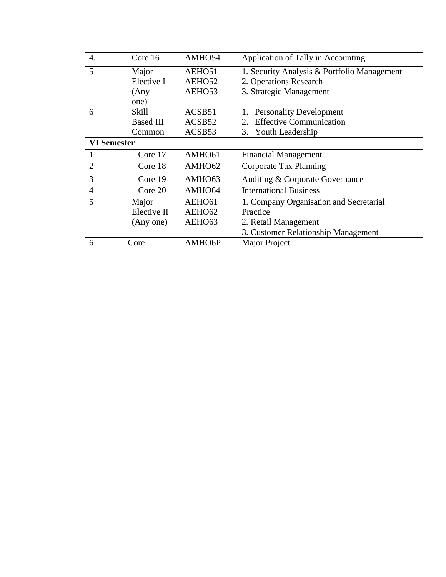| $\overline{4}$ .   | Core 16          | AMHO54             | Application of Tally in Accounting                            |
|--------------------|------------------|--------------------|---------------------------------------------------------------|
| 5                  | Major            | AEHO51             | 1. Security Analysis & Portfolio Management                   |
|                    | Elective I       | AEHO52             | 2. Operations Research                                        |
|                    | (Any             | AEHO53             | 3. Strategic Management                                       |
|                    | one)             |                    |                                                               |
| 6                  | Skill            | ACSB51             | <b>Personality Development</b>                                |
|                    | <b>Based III</b> | ACSB52             | <b>Effective Communication</b><br>$\mathcal{D}_{\mathcal{L}}$ |
|                    | Common           | ACSB <sub>53</sub> | 3. Youth Leadership                                           |
| <b>VI Semester</b> |                  |                    |                                                               |
|                    | Core 17          | AMHO61             | <b>Financial Management</b>                                   |
| $\overline{2}$     | Core 18          | AMHO62             | Corporate Tax Planning                                        |
| 3                  | Core 19          | AMHO63             | Auditing & Corporate Governance                               |
| $\overline{4}$     | Core 20          | AMHO64             | <b>International Business</b>                                 |
| 5                  | Major            | AEHO61             | 1. Company Organisation and Secretarial                       |
|                    | Elective II      | AEHO62             | Practice                                                      |
|                    | (Any one)        | AEHO63             | 2. Retail Management                                          |
|                    |                  |                    | 3. Customer Relationship Management                           |
| 6                  | Core             | AMHO6P             | Major Project                                                 |
|                    |                  |                    |                                                               |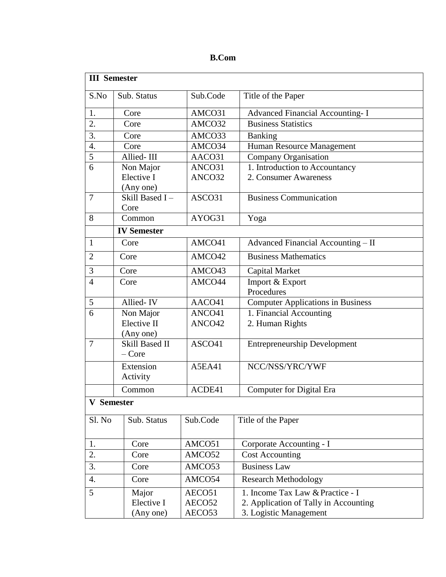| л<br>ı |
|--------|
|--------|

| <b>III</b> Semester |                                  |               |                                          |  |
|---------------------|----------------------------------|---------------|------------------------------------------|--|
| S.No                | Sub. Status                      | Sub.Code      | Title of the Paper                       |  |
| 1.                  | Core                             | AMCO31        | <b>Advanced Financial Accounting-I</b>   |  |
| $\overline{2}$ .    | Core                             | AMCO32        | <b>Business Statistics</b>               |  |
| 3.                  | Core                             | AMCO33        | Banking                                  |  |
| 4.                  | Core                             | AMCO34        | Human Resource Management                |  |
| 5                   | Allied-III                       | AACO31        | Company Organisation                     |  |
| 6                   | Non Major                        | ANCO31        | 1. Introduction to Accountancy           |  |
|                     | Elective I                       | ANCO32        | 2. Consumer Awareness                    |  |
|                     | (Any one)                        |               |                                          |  |
| $\overline{7}$      | Skill Based I-                   | ASCO31        | <b>Business Communication</b>            |  |
| 8                   | Core<br>Common                   | AYOG31        |                                          |  |
|                     |                                  |               | Yoga                                     |  |
|                     | <b>IV Semester</b>               |               |                                          |  |
| $\mathbf{1}$        | Core                             | AMCO41        | Advanced Financial Accounting - II       |  |
| $\overline{2}$      | Core                             | AMCO42        | <b>Business Mathematics</b>              |  |
| 3                   | Core                             | AMCO43        | Capital Market                           |  |
| $\overline{4}$      | Core                             | AMCO44        | Import & Export<br>Procedures            |  |
| 5                   | Allied-IV                        | AACO41        | <b>Computer Applications in Business</b> |  |
| 6                   | Non Major                        | ANCO41        | 1. Financial Accounting                  |  |
|                     | Elective II                      | ANCO42        | 2. Human Rights                          |  |
|                     | (Any one)                        |               |                                          |  |
| $\overline{7}$      | <b>Skill Based II</b><br>$-Core$ | ASCO41        | <b>Entrepreneurship Development</b>      |  |
|                     | Extension                        | <b>A5EA41</b> | NCC/NSS/YRC/YWF                          |  |
|                     | Activity                         |               |                                          |  |
|                     | Common                           | ACDE41        | <b>Computer for Digital Era</b>          |  |
| <b>V</b> Semester   |                                  |               |                                          |  |
| Sl. No              | Sub. Status                      | Sub.Code      | Title of the Paper                       |  |
| 1.                  | Core                             | AMCO51        | Corporate Accounting - I                 |  |
| 2.                  | Core                             | AMCO52        | <b>Cost Accounting</b>                   |  |
| 3.                  | Core                             | AMCO53        | <b>Business Law</b>                      |  |
| 4.                  | Core                             | AMCO54        | <b>Research Methodology</b>              |  |
| 5                   | Major                            | AECO51        | 1. Income Tax Law & Practice - I         |  |
|                     | Elective I                       | AECO52        | 2. Application of Tally in Accounting    |  |
|                     | (Any one)                        | AECO53        | 3. Logistic Management                   |  |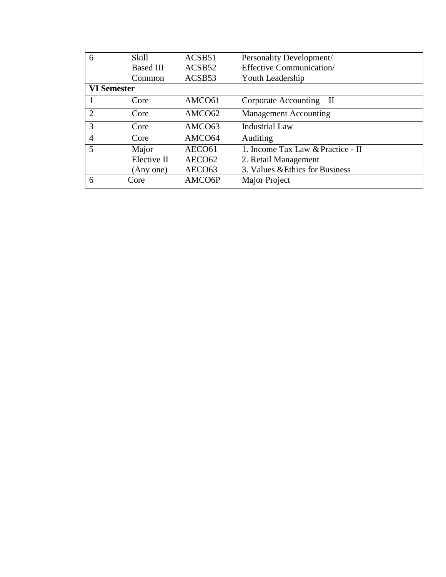| 6              |                    | Skill            | ACSB <sub>51</sub> | Personality Development/          |
|----------------|--------------------|------------------|--------------------|-----------------------------------|
|                |                    | <b>Based III</b> | ACSB52             | <b>Effective Communication/</b>   |
|                |                    | Common           | ACSB53             | Youth Leadership                  |
|                | <b>VI Semester</b> |                  |                    |                                   |
|                |                    | Core             | AMCO61             | Corporate Accounting – II         |
| 2              |                    | Core             | AMCO62             | <b>Management Accounting</b>      |
| 3              |                    | Core             | AMCO <sub>63</sub> | <b>Industrial Law</b>             |
| $\overline{4}$ |                    | Core             | AMCO64             | Auditing                          |
| 5              |                    | Major            | AECO <sub>61</sub> | 1. Income Tax Law & Practice - II |
|                |                    | Elective II      | AECO <sub>62</sub> | 2. Retail Management              |
|                |                    | (Any one)        | AECO <sub>63</sub> | 3. Values & Ethics for Business   |
| 6              |                    | Core             | AMCO6P             | Major Project                     |
|                |                    |                  |                    |                                   |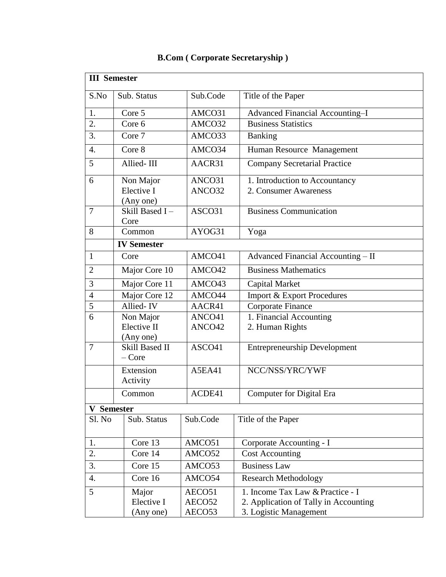| <b>III</b> Semester  |                                  |          |                                       |  |  |
|----------------------|----------------------------------|----------|---------------------------------------|--|--|
| S.No                 | Sub. Status                      | Sub.Code | Title of the Paper                    |  |  |
| 1.                   | Core 5                           | AMCO31   | Advanced Financial Accounting-I       |  |  |
| $\overline{2}$ .     | Core 6                           | AMCO32   | <b>Business Statistics</b>            |  |  |
| 3.                   | Core 7                           | AMCO33   | <b>Banking</b>                        |  |  |
| $\overline{4}$ .     | Core 8                           | AMCO34   | Human Resource Management             |  |  |
| 5                    | Allied-III                       | AACR31   | <b>Company Secretarial Practice</b>   |  |  |
| 6                    | Non Major                        | ANCO31   | 1. Introduction to Accountancy        |  |  |
|                      | Elective I                       | ANCO32   | 2. Consumer Awareness                 |  |  |
|                      | (Any one)                        |          |                                       |  |  |
| $\tau$               | Skill Based I-<br>Core           | ASCO31   | <b>Business Communication</b>         |  |  |
| 8                    | Common                           | AYOG31   | Yoga                                  |  |  |
|                      | <b>IV Semester</b>               |          |                                       |  |  |
| $\mathbf{1}$         | Core                             | AMCO41   | Advanced Financial Accounting - II    |  |  |
| $\overline{2}$       | Major Core 10                    | AMCO42   | <b>Business Mathematics</b>           |  |  |
| 3                    | Major Core 11                    | AMCO43   | <b>Capital Market</b>                 |  |  |
| $\overline{4}$       | Major Core 12                    | AMCO44   | <b>Import &amp; Export Procedures</b> |  |  |
| 5                    | Allied-IV                        | AACR41   | Corporate Finance                     |  |  |
| 6                    | Non Major                        | ANCO41   | 1. Financial Accounting               |  |  |
|                      | Elective II                      | ANCO42   | 2. Human Rights                       |  |  |
|                      | (Any one)                        |          |                                       |  |  |
| $\tau$               | <b>Skill Based II</b><br>$-Core$ | ASCO41   | <b>Entrepreneurship Development</b>   |  |  |
|                      | Extension<br>Activity            | A5EA41   | NCC/NSS/YRC/YWF                       |  |  |
|                      | Common                           | ACDE41   | Computer for Digital Era              |  |  |
| <b>Semester</b><br>V |                                  |          |                                       |  |  |
| Sl. No               | Sub. Status                      | Sub.Code | Title of the Paper                    |  |  |
| 1.                   | Core 13                          | AMCO51   | Corporate Accounting - I              |  |  |
| 2.                   | Core 14                          | AMCO52   | <b>Cost Accounting</b>                |  |  |
| 3.                   | Core 15                          | AMCO53   | <b>Business Law</b>                   |  |  |
| 4.                   | Core 16                          | AMCO54   | <b>Research Methodology</b>           |  |  |
| 5                    | Major                            | AECO51   | 1. Income Tax Law & Practice - I      |  |  |
|                      | Elective I                       | AECO52   | 2. Application of Tally in Accounting |  |  |
|                      | (Any one)                        | AECO53   | 3. Logistic Management                |  |  |

## **B.Com ( Corporate Secretaryship )**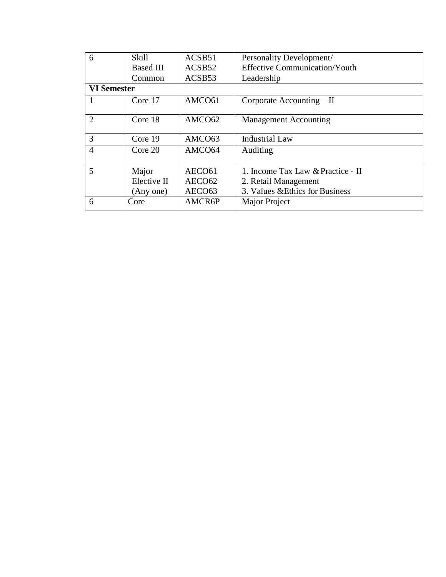| 6                  | Skill            | ACSB51             | Personality Development/             |
|--------------------|------------------|--------------------|--------------------------------------|
|                    | <b>Based III</b> | ACSB52             | <b>Effective Communication/Youth</b> |
|                    | Common           | ACSB53             | Leadership                           |
| <b>VI Semester</b> |                  |                    |                                      |
|                    | Core 17          | AMCO61             | Corporate Accounting – II            |
|                    |                  |                    |                                      |
| $\overline{2}$     | Core 18          | AMCO62             | <b>Management Accounting</b>         |
|                    |                  |                    |                                      |
| 3                  | Core 19          | AMCO <sub>63</sub> | <b>Industrial Law</b>                |
| $\overline{4}$     | Core 20          | AMCO64             | Auditing                             |
|                    |                  |                    |                                      |
| 5                  | Major            | AECO <sub>61</sub> | 1. Income Tax Law & Practice - II    |
|                    | Elective II      | AECO <sub>62</sub> | 2. Retail Management                 |
|                    | (Any one)        | AECO <sub>63</sub> | 3. Values & Ethics for Business      |
| 6                  | Core             | AMCR6P             | Major Project                        |
|                    |                  |                    |                                      |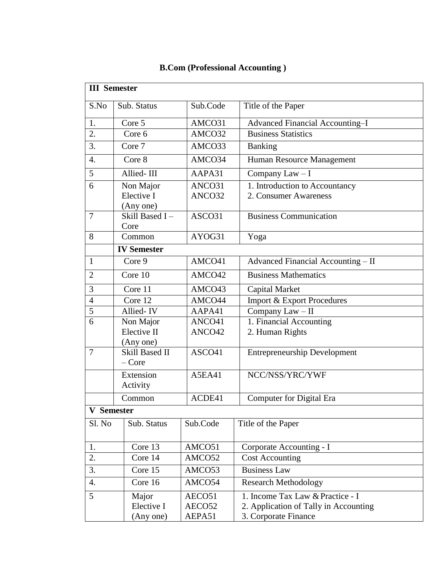| <b>III</b> Semester |                                               |                  |                                                         |  |  |
|---------------------|-----------------------------------------------|------------------|---------------------------------------------------------|--|--|
| S.No                | Sub. Status                                   | Sub.Code         | Title of the Paper                                      |  |  |
| 1.                  | Core 5                                        | AMCO31           | Advanced Financial Accounting-I                         |  |  |
| 2.                  | Core 6                                        | AMCO32           | <b>Business Statistics</b>                              |  |  |
| 3.                  | Core 7                                        | AMCO33           | <b>Banking</b>                                          |  |  |
| $\overline{4}$ .    | Core 8                                        | AMCO34           | Human Resource Management                               |  |  |
| 5                   | Allied-III                                    | AAPA31           | Company Law - I                                         |  |  |
| 6                   | Non Major<br>Elective I<br>(Any one)          | ANCO31<br>ANCO32 | 1. Introduction to Accountancy<br>2. Consumer Awareness |  |  |
| $\overline{7}$      | Skill Based I-<br>Core                        | ASCO31           | <b>Business Communication</b>                           |  |  |
| 8                   | Common                                        | AYOG31           | Yoga                                                    |  |  |
|                     | <b>IV Semester</b>                            |                  |                                                         |  |  |
| $\mathbf{1}$        | Core 9                                        | AMCO41           | Advanced Financial Accounting - II                      |  |  |
| $\overline{2}$      | Core 10                                       | AMCO42           | <b>Business Mathematics</b>                             |  |  |
| 3                   | Core 11                                       | AMCO43           | Capital Market                                          |  |  |
| $\overline{4}$      | Core 12                                       | AMCO44           | <b>Import &amp; Export Procedures</b>                   |  |  |
| 5                   | Allied-IV                                     | AAPA41           | Company Law - II                                        |  |  |
| 6                   | Non Major                                     | ANCO41           | 1. Financial Accounting                                 |  |  |
|                     | Elective II                                   | ANCO42           | 2. Human Rights                                         |  |  |
| $\overline{7}$      | (Any one)<br><b>Skill Based II</b><br>$-Core$ | ASCO41           | <b>Entrepreneurship Development</b>                     |  |  |
|                     | Extension<br>Activity                         | <b>A5EA41</b>    | NCC/NSS/YRC/YWF                                         |  |  |
|                     | Common                                        | ACDE41           | <b>Computer for Digital Era</b>                         |  |  |
| <b>V</b> Semester   |                                               |                  |                                                         |  |  |
| Sl. No              | Sub. Status                                   | Sub.Code         | Title of the Paper                                      |  |  |
| 1.                  | Core 13                                       | AMCO51           | Corporate Accounting - I                                |  |  |
| 2.                  | Core 14                                       | AMCO52           | <b>Cost Accounting</b>                                  |  |  |
| 3.                  | Core 15                                       | AMCO53           | <b>Business Law</b>                                     |  |  |
| 4.                  | Core 16                                       | AMCO54           | <b>Research Methodology</b>                             |  |  |
| 5                   | Major                                         | AECO51           | 1. Income Tax Law & Practice - I                        |  |  |
|                     | Elective I                                    | AECO52           | 2. Application of Tally in Accounting                   |  |  |
|                     | (Any one)                                     | AEPA51           | 3. Corporate Finance                                    |  |  |

## **B.Com (Professional Accounting )**